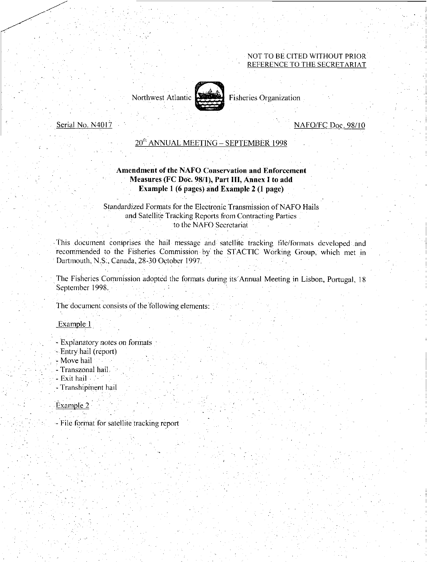### NOT TO BE CITED WITHOUT PRIOR REFERENCE TO THE SECRETARIAT



Northwest Atlantic **Fisheries** Organization

#### Serial No. N4017 NAFO/FC Doc. 98/10

# $20<sup>th</sup>$  ANNUAL MEETING – SEPTEMBER 1998

# Amendment of the NAFO Conservation and Enforcement Measures (FC Doc. 98/1), Part III, Annex I to add Example 1 (6 pages) and Example 2 (1 page)

*Standardized* Formats for the Electronic Transmission of NAFO Hails and Satellite Tracking Reports from Contracting Parties to the NAFO Secretariat

This document comprises the hail message and satellite tracking file/formats developed and recommended to the Fisheries Commission by the STACTIC Working Group, which met in Dartmouth, N.S., Canada, 28-30 October 1997.

The Fisheries Commission adopted the formats during its Annual Meeting in Lisbon, Portugal, 18 September 1998.

The document consists of the 'following elements:

Example 1

- Explanatory *notes* on formats

- Entry hail (report)
- Move hail
- Transzonal hail
- Exit hail
- Transhipinent hail

Example 2

- File format for satellite tracking report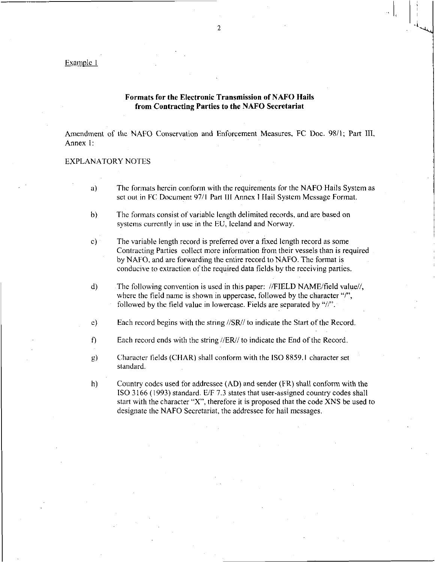#### Example I

### Formats for the Electronic Transmission of NAFO Hails from Contracting Parties to the NAFO Secretariat

Amendment of the NAFO Conservation and Enforcement Measures, FC Doc. 98/1; Part III, Annex I:

#### EXPLANATORY NOTES

- a) The formats herein conform with the requirements for the NAFO Hails System as set out in FC, Document 97/1 Part III Annex I Hail System Message Format.
- b) The formats consist of variable length delimited records, and are based on systems currently in use in the EU, Iceland and Norway.
- c) The variable length record is preferred over a fixed length record as some Contracting Parties collect more information from their vessels than is required by NAFO, and are forwarding the entire record to NAFO. The format is conducive to extraction of the required data fields by the receiving parties.
- d) The following convention is used in this paper: //FIELD NAME/field value//, where the field name is shown in uppercase, followed by the character "/", followed by the field value in lowercase. Fields are separated by "//".

e) Each record begins with the string //SR// to indicate the Start of the Record.

- f) Each record ends with the string //ER// to indicate the End of the Record.
- g) Character fields (CHAR) shall conform with the ISO 8859.1 character set standard.
- Country codes used for addressee (AD) and sender (FR) shall conform with the  $h)$ ISO 3166 (1993) standard. E/F 7.3 states that user-assigned country codes shall start with the character "X", therefore it is proposed that the code XNS be used to designate the NAFO Secretariat, the addressee for hail messages.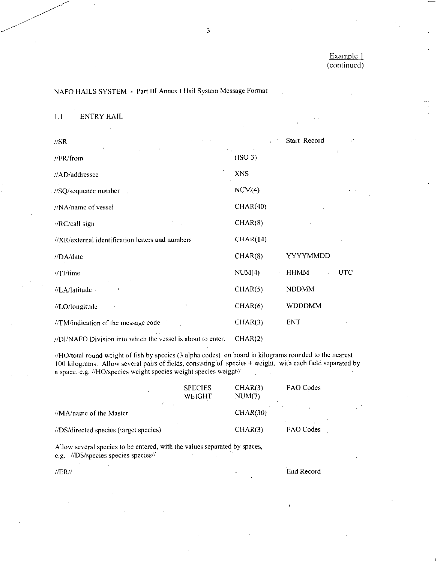### NAFO HAILS SYSTEM - Part III Annex I Hail System Message Format

#### 1.1 ENTRY HAIL

| $\sqrt{S}R$                                                 |            | Start Record                |
|-------------------------------------------------------------|------------|-----------------------------|
| $\lambda$<br>//FR/from                                      | $(ISO-3)$  | $\mathcal{F}^{\mathcal{F}}$ |
| //AD/addressee                                              | <b>XNS</b> |                             |
| //SQ/sequence number                                        | NUM(4)     |                             |
| //NA/name of vessel                                         | CHAR(40)   |                             |
| //RC/call sign                                              | CHAR(8)    |                             |
| //XR/external identification letters and numbers            | CHAR(14)   |                             |
| //DA/date                                                   | CHAR(8)    | YYYYMMDD                    |
| //TI/time                                                   | NUM(4)     | HHMM<br><b>UTC</b>          |
| //LA/latitude                                               | CHAR(5)    | <b>NDDMM</b>                |
| //LO/longitude                                              | CHAR(6)    | <b>WDDDMM</b>               |
| //TM/indication of the message code                         | CHAR(3)    | ENT.                        |
| //DI/NAFO Division into which the vessel is about to enter. | CHAR(2)    |                             |

//HO/total round weight of fish by species (3 alpha codes) on board in kilograms rounded to the nearest 100 kilograms. Allow several pairs of fields, consisting of species + weight, with each field separated by a space. e.g. //HO/species weight species weight species weight//

|                                                              | <b>SPECIES</b><br>WEIGHT | CHAR(3)<br>NUM(7) | FAO Codes |
|--------------------------------------------------------------|--------------------------|-------------------|-----------|
| $\mathcal{I}^{\star}$<br>$\frac{1}{M}$ MA/name of the Master |                          | CHAR(30)          | 18.       |
| //DS/directed species (target species)                       |                          | CHAR(3)           | FAO Codes |

Allow several species to be entered, with the values separated by spaces, e.g. //DS/species species species//

//ER// End Record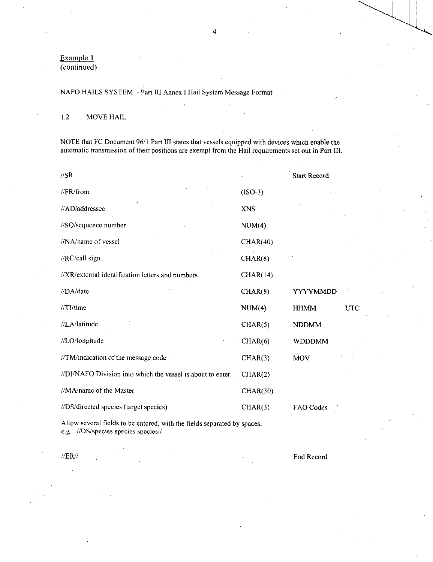Example I (continued)

### NAFO HAILS SYSTEM - Part III Annex I Hail System Message Format

#### 1.2 MOVE HAIL

NOTE that FC Document 96/1 Part III states that vessels equipped with devices which enable the automatic transmission of their positions are exempt from the Hail requirements set out in Part III.

| $\sqrt{SR}$                                                      |            | <b>Start Record</b> |     |
|------------------------------------------------------------------|------------|---------------------|-----|
| //FR/from                                                        | $(ISO-3)$  |                     |     |
| //AD/addressee                                                   | <b>XNS</b> |                     |     |
| //SQ/sequence number                                             | NUM(4)     |                     |     |
| //NA/name of vessel                                              | CHAR(40)   |                     |     |
| //RC/call sign                                                   | CHAR(8)    |                     |     |
| //XR/external identification letters and numbers                 | CHAR(14)   |                     |     |
| //DA/date                                                        | CHAR(8)    | YYYYMMDD            |     |
| $\frac{1}{T}$ / time                                             | NUM(4)     | HHMM.               | UTC |
| //LA/latitude                                                    | CHAR(5)    | <b>NDDMM</b>        |     |
| //LO/longitude                                                   | CHAR(6)    | <b>WDDDMM</b>       |     |
| //TM/indication of the message code                              | CHAR(3)    | <b>MOV</b>          |     |
| //DI/NAFO Division into which the vessel is about to enter.      | CHAR(2)    |                     |     |
| //MA/name of the Master                                          | CHAR(30)   |                     |     |
| //DS/directed species (target species)                           | CHAR(3)    | FAO Codes           |     |
| All expressional fields to be contracted with the $\alpha$ -time |            |                     |     |

Allow several fields to be entered, with the fields separated by spaces, e.g. //DS/species species species//

//ER// End Record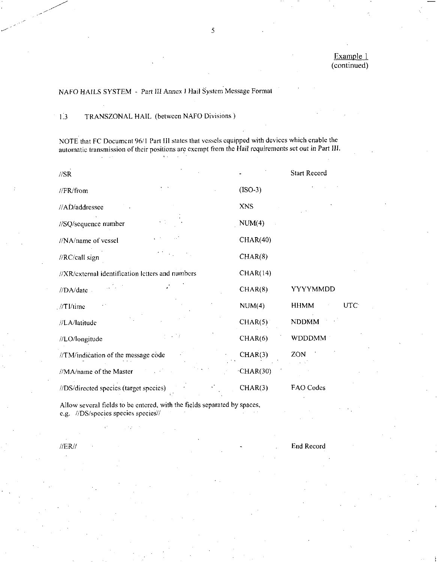# Example 1 (continued)

# NAFO HAILS SYSTEM - Part III *Annex I* Hail System Message Format

# 1.3 TRANSZONAL HAIL (between NAFO Divisions )

NOTE that FC Document 96/1 Part III states that vessels equipped with devices which enable the automatic transmission of their positions are exempt from the Hail requirements set *out in* Part III.  $\Lambda$   $\sim$ 

| $\sqrt{S}R$                                      |                  | <b>Start Record</b>      |
|--------------------------------------------------|------------------|--------------------------|
| //FR/from                                        | $(ISO-3)$        |                          |
| //AD/addressee                                   | <b>XNS</b>       |                          |
| //SQ/sequence number                             | NUM(4)           |                          |
| //NA/name of vessel                              | CHAR(40)         |                          |
| //RC/call sign                                   | CHAR(8)          |                          |
| //XR/external identification letters and numbers | CHAR(14)         |                          |
| //DA/date -                                      | CHAR(8)          | <b>YYYYMMDD</b>          |
| //TI/time                                        | NUM(4)           | UTC <sup>-</sup><br>HHMM |
| //LA/latitude                                    | CHAR(5)          | <b>NDDMM</b>             |
| //LO/longitude                                   | CHAR(6)          | <b>WDDDMM</b>            |
| //TM/indication of the message code              | CHAR(3)          | ZON                      |
| //MA/name of the Master                          | $\cdot$ CHAR(30) |                          |
| //DS/directed species (target species)           | CHAR(3)          | FAO Codes                |

Allow several fields to be entered, with the fields separated by spaces, e.g. //DS/species species species//

//ER// End Record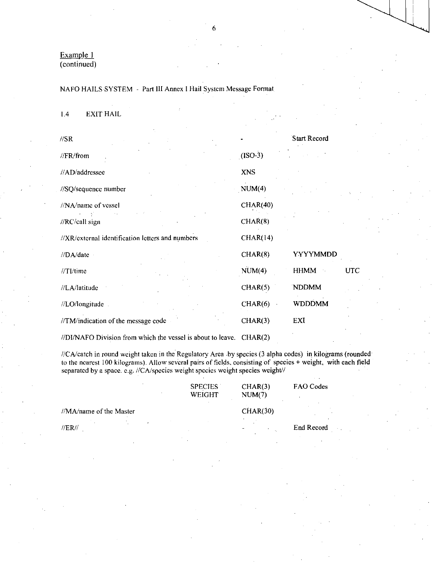# Example I (continued)

#### NAFO HAILS SYSTEM - Part III Annex I Hail System Message Format

#### 1.4 EXIT HAIL

| $\sqrt{S}R$                                                 |            | <b>Start Record</b> |
|-------------------------------------------------------------|------------|---------------------|
| //FR/from                                                   | $(ISO-3)$  |                     |
| //AD/addressee                                              | <b>XNS</b> |                     |
| //SQ/sequence number                                        | NUM(4)     |                     |
| //NA/name of vessel                                         | CHAR(40)   |                     |
| //RC/call sign                                              | CHAR(8)    |                     |
| //XR/external identification letters and numbers            | CHAR(14)   |                     |
| //DA/date                                                   | CHAR(8)    | <b>YYYYMMDD</b>     |
| //TI/time                                                   | NUM(4)     | UTC<br><b>HHMM</b>  |
| //LA/latitude                                               | CHAR(5)    | <b>NDDMM</b>        |
| //LO/longitude                                              | CHAR(6)    | <b>WDDDMM</b>       |
| //TM/indication of the message code                         | CHAR(3)    | EXI                 |
| //DI/NAFO Division from which the vessel is about to leave. | CHAR(2)    |                     |

//CA/catch in round weight taken in the Regulatory Area by species (3 alpha codes) in kilograms (rounded to the nearest 100 kilograms). Allow several pairs of fields, consisting of species + weight, with each field separated by a space. e.g. //CA/species weight species weight species weight//

|                         | <b>SPECIES</b><br>WEIGHT | CHAR(3)<br>NUM(7) | FAO Codes  |  |
|-------------------------|--------------------------|-------------------|------------|--|
| //MA/name of the Master | CHAR(30)                 |                   |            |  |
| $\sqrt{ER}}$            |                          | $\mathbf{r}$      | End Record |  |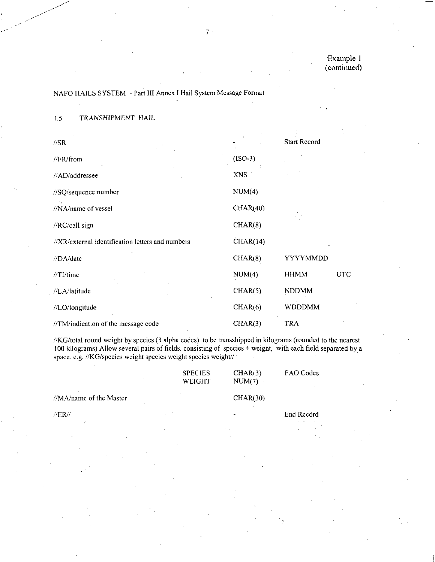## NAFO HAILS SYSTEM - Part III Annex I Hail System Message Format

### 1.5 TRANSHIPMENT HAIL

| $\sqrt{S}R$                                      |            | <b>Start Record</b> |            |
|--------------------------------------------------|------------|---------------------|------------|
| //FR/from                                        | $(ISO-3)$  |                     |            |
| //AD/addressee                                   | <b>XNS</b> |                     |            |
| //SQ/sequence number                             | NUM(4)     |                     |            |
| //NA/name of vessel                              | CHAR(40)   |                     |            |
| //RC/call sign                                   | CHAR(8)    |                     |            |
| //XR/external identification letters and numbers | CHAR(14)   |                     |            |
| //DA/date                                        | CHAR(8)    | YYYYMMDD            |            |
| //TI/time                                        | NUM(4)     | <b>HHMM</b>         | <b>UTC</b> |
| //LA/latitude                                    | CHAR(5)    | <b>NDDMM</b>        |            |
| //LO/longitude                                   | CHAR(6)    | <b>WDDDMM</b>       |            |
| //TM/indication of the message code              | CHAR(3)    | TRA                 |            |

//KG/total round weight by species (3 alpha codes) to be transshipped in kilograms (rounded to the nearest 100 kilograms) Allow several pairs of fields, consisting of species + weight, with each field separated by a space. e.g. //KG/species weight species weight species weight// ·

|                                | <b>SPECIES</b><br>WEIGHT | CHAR(3)<br>NUM(7) | FAO Codes  |
|--------------------------------|--------------------------|-------------------|------------|
| //MA/name of the Master        |                          | CHAR(30)          |            |
| I/ER/I<br>$\ddot{\phantom{0}}$ |                          | $\,$              | End Record |